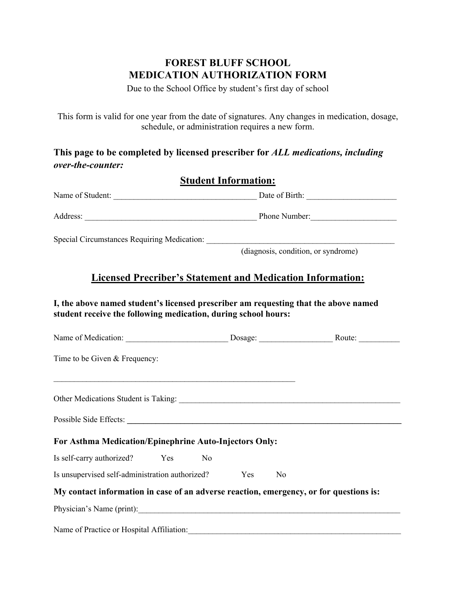## **FOREST BLUFF SCHOOL MEDICATION AUTHORIZATION FORM**

Due to the School Office by student's first day of school

This form is valid for one year from the date of signatures. Any changes in medication, dosage, schedule, or administration requires a new form.

**This page to be completed by licensed prescriber for** *ALL medications, including over-the-counter:*

#### **Student Information:**

|                                                                                                                                                       | (diagnosis, condition, or syndrome)                                                    |  |  |
|-------------------------------------------------------------------------------------------------------------------------------------------------------|----------------------------------------------------------------------------------------|--|--|
|                                                                                                                                                       | <b>Licensed Precriber's Statement and Medication Information:</b>                      |  |  |
| I, the above named student's licensed prescriber am requesting that the above named<br>student receive the following medication, during school hours: |                                                                                        |  |  |
|                                                                                                                                                       |                                                                                        |  |  |
| Time to be Given & Frequency:                                                                                                                         |                                                                                        |  |  |
|                                                                                                                                                       |                                                                                        |  |  |
| Possible Side Effects: Note of the Side Effects:                                                                                                      |                                                                                        |  |  |
| For Asthma Medication/Epinephrine Auto-Injectors Only:                                                                                                |                                                                                        |  |  |
| Is self-carry authorized?<br>Yes<br>N <sub>o</sub>                                                                                                    |                                                                                        |  |  |
| Is unsupervised self-administration authorized?                                                                                                       | Yes<br>N <sub>o</sub>                                                                  |  |  |
|                                                                                                                                                       | My contact information in case of an adverse reaction, emergency, or for questions is: |  |  |
| Physician's Name (print):                                                                                                                             |                                                                                        |  |  |
| Name of Practice or Hospital Affiliation:                                                                                                             |                                                                                        |  |  |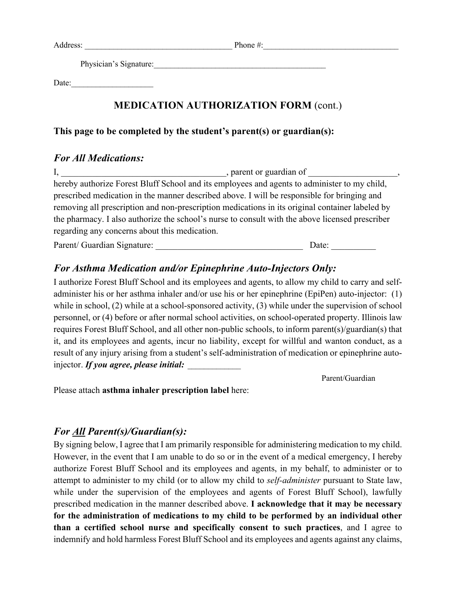Address: The example of the example of the example of the example of the example of the example of the example of the example of the example of the example of the example of the example of the example of the example of the

Physician's Signature:

Date:

## **MEDICATION AUTHORIZATION FORM** (cont.)

#### **This page to be completed by the student's parent(s) or guardian(s):**

### *For All Medications:*

I, \_\_\_\_\_\_\_\_\_\_\_\_\_\_\_\_\_\_\_\_\_\_\_\_\_\_\_\_\_\_\_\_\_\_\_, parent or guardian of hereby authorize Forest Bluff School and its employees and agents to administer to my child, prescribed medication in the manner described above. I will be responsible for bringing and removing all prescription and non-prescription medications in its original container labeled by the pharmacy. I also authorize the school's nurse to consult with the above licensed prescriber regarding any concerns about this medication.

Parent/ Guardian Signature: \_\_\_\_\_\_\_\_\_\_\_\_\_\_\_\_\_\_\_\_\_\_\_\_\_\_\_\_\_\_\_\_\_ Date: \_\_\_\_\_\_\_\_\_\_

# *For Asthma Medication and/or Epinephrine Auto-Injectors Only:*

I authorize Forest Bluff School and its employees and agents, to allow my child to carry and selfadminister his or her asthma inhaler and/or use his or her epinephrine (EpiPen) auto-injector: (1) while in school, (2) while at a school-sponsored activity, (3) while under the supervision of school personnel, or (4) before or after normal school activities, on school-operated property. Illinois law requires Forest Bluff School, and all other non-public schools, to inform parent(s)/guardian(s) that it, and its employees and agents, incur no liability, except for willful and wanton conduct, as a result of any injury arising from a student's self-administration of medication or epinephrine autoinjector. If you agree, please *initial*:

Parent/Guardian

Please attach **asthma inhaler prescription label** here:

## *For All Parent(s)/Guardian(s):*

By signing below, I agree that I am primarily responsible for administering medication to my child. However, in the event that I am unable to do so or in the event of a medical emergency, I hereby authorize Forest Bluff School and its employees and agents, in my behalf, to administer or to attempt to administer to my child (or to allow my child to *self-administer* pursuant to State law, while under the supervision of the employees and agents of Forest Bluff School), lawfully prescribed medication in the manner described above. **I acknowledge that it may be necessary for the administration of medications to my child to be performed by an individual other than a certified school nurse and specifically consent to such practices**, and I agree to indemnify and hold harmless Forest Bluff School and its employees and agents against any claims,